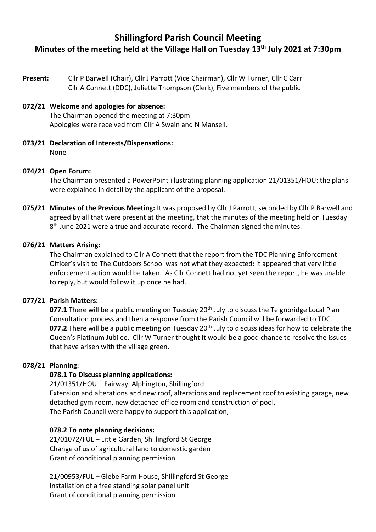# **Shillingford Parish Council Meeting Minutes of the meeting held at the Village Hall on Tuesday 13th July 2021 at 7:30pm**

**Present:** Cllr P Barwell (Chair), Cllr J Parrott (Vice Chairman), Cllr W Turner, Cllr C Carr Cllr A Connett (DDC), Juliette Thompson (Clerk), Five members of the public

#### **072/21 Welcome and apologies for absence:** The Chairman opened the meeting at 7:30pm

Apologies were received from Cllr A Swain and N Mansell.

**073/21 Declaration of Interests/Dispensations:**  None

#### **074/21 Open Forum:**

The Chairman presented a PowerPoint illustrating planning application 21/01351/HOU: the plans were explained in detail by the applicant of the proposal.

**075/21 Minutes of the Previous Meeting:** It was proposed by Cllr J Parrott, seconded by Cllr P Barwell and agreed by all that were present at the meeting, that the minutes of the meeting held on Tuesday 8<sup>th</sup> June 2021 were a true and accurate record. The Chairman signed the minutes.

#### **076/21 Matters Arising:**

The Chairman explained to Cllr A Connett that the report from the TDC Planning Enforcement Officer's visit to The Outdoors School was not what they expected: it appeared that very little enforcement action would be taken. As Cllr Connett had not yet seen the report, he was unable to reply, but would follow it up once he had.

#### **077/21 Parish Matters:**

077.1 There will be a public meeting on Tuesday 20<sup>th</sup> July to discuss the Teignbridge Local Plan Consultation process and then a response from the Parish Council will be forwarded to TDC. **077.2** There will be a public meeting on Tuesday 20<sup>th</sup> July to discuss ideas for how to celebrate the Queen's Platinum Jubilee. Cllr W Turner thought it would be a good chance to resolve the issues that have arisen with the village green.

## **078/21 Planning:**

## **078.1 To Discuss planning applications:**

21/01351/HOU – Fairway, Alphington, Shillingford Extension and alterations and new roof, alterations and replacement roof to existing garage, new detached gym room, new detached office room and construction of pool. The Parish Council were happy to support this application,

#### **078.2 To note planning decisions:**

21/01072/FUL – Little Garden, Shillingford St George Change of us of agricultural land to domestic garden Grant of conditional planning permission

21/00953/FUL – Glebe Farm House, Shillingford St George Installation of a free standing solar panel unit Grant of conditional planning permission